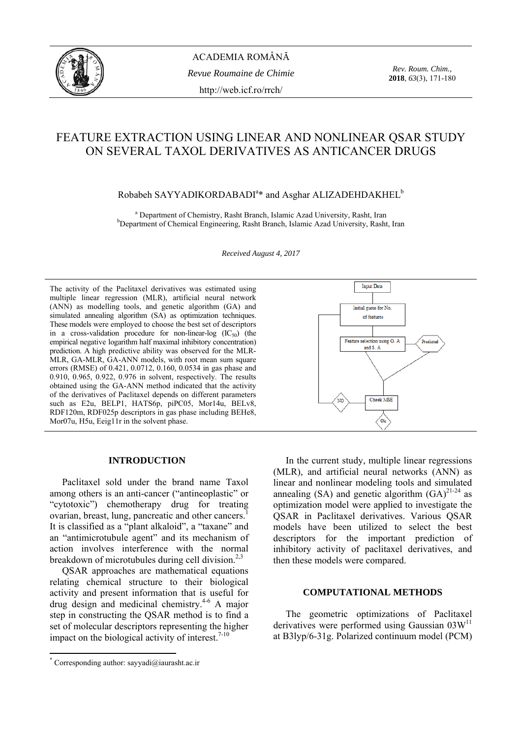

ACADEMIA ROMÂNĂ *Revue Roumaine de Chimie*  http://web.icf.ro/rrch/

*Rev. Roum. Chim.,*  **2018**, *63*(3), 171-180

# FEATURE EXTRACTION USING LINEAR AND NONLINEAR QSAR STUDY ON SEVERAL TAXOL DERIVATIVES AS ANTICANCER DRUGS

## Robabeh SAYYADIKORDABADI<sup>a</sup>\* and Asghar ALIZADEHDAKHEL<sup>b</sup>

<sup>a</sup> Department of Chemistry, Rasht Branch, Islamic Azad University, Rasht, Iran b<br>penetron of Chemisel Engineering, Beskt Branch, Jelamic Azad University, Beskt Department of Chemical Engineering, Rasht Branch, Islamic Azad University, Rasht, Iran

*Received August 4, 2017* 

The activity of the Paclitaxel derivatives was estimated using multiple linear regression (MLR), artificial neural network (ANN) as modelling tools, and genetic algorithm (GA) and simulated annealing algorithm (SA) as optimization techniques. These models were employed to choose the best set of descriptors in a cross-validation procedure for non-linear-log  $(IC_{50})$  (the empirical negative logarithm half maximal inhibitory concentration) prediction. A high predictive ability was observed for the MLR-MLR, GA-MLR, GA-ANN models, with root mean sum square errors (RMSE) of 0.421, 0.0712, 0.160, 0.0534 in gas phase and 0.910, 0.965, 0.922, 0.976 in solvent, respectively. The results obtained using the GA-ANN method indicated that the activity of the derivatives of Paclitaxel depends on different parameters such as E2u, BELP1, HATS6p, piPC05, Mor14u, BELv8, RDF120m, RDF025p descriptors in gas phase including BEHe8, Mor07u, H5u, Eeig11r in the solvent phase.

# **Input Data** Initial guess for No. of features Feature selection using G. A. .<br>Predicte<mark>d</mark> and S.A **Cheek MSE**

#### **INTRODUCTION[\\*](#page-0-0)**

Paclitaxel sold under the brand name Taxol among others is an anti-cancer ("antineoplastic" or "cytotoxic") chemotherapy drug for treating ovarian, breast, lung, pancreatic and other [cancers](https://en.wikipedia.org/wiki/Cancer).<sup>1</sup> It is classified as a "plant alkaloid", a "taxane" and an "antimicrotubule agent" and its mechanism of action involves interference with the normal breakdown of microtubules during cell division. $2,3$ 

QSAR approaches are mathematical equations relating chemical structure to their biological activity and present information that is useful for drug design and medicinal chemistry.4-6 A major step in constructing the QSAR method is to find a set of molecular descriptors representing the higher impact on the biological activity of interest. $7-10$ 

In the current study, multiple linear regressions (MLR), and artificial neural networks (ANN) as linear and nonlinear modeling tools and simulated annealing (SA) and genetic algorithm  $(GA)^{21-24}$  as optimization model were applied to investigate the QSAR in Paclitaxel derivatives. Various QSAR models have been utilized to select the best descriptors for the important prediction of inhibitory activity of paclitaxel derivatives, and then these models were compared.

#### **COMPUTATIONAL METHODS**

The geometric optimizations of Paclitaxel derivatives were performed using Gaussian  $03W^{11}$ at B3lyp/6-31g. Polarized continuum model (PCM)

<span id="page-0-0"></span><sup>\*</sup> Corresponding author: [sayyadi@iaurasht.ac.ir](mailto:sayyadi@iaurasht.ac.ir)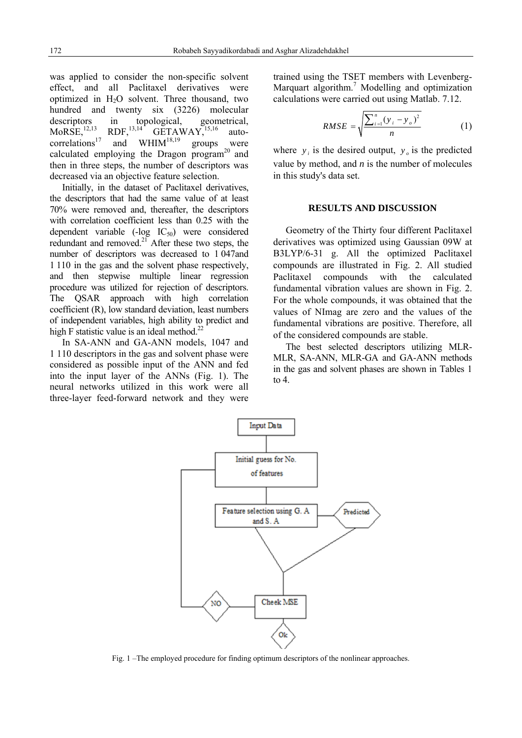was applied to consider the non-specific solvent effect, and all Paclitaxel derivatives were optimized in H2O solvent. Three thousand, two hundred and twenty six (3226) molecular descriptors in topological, geometrical,<br>MoRSE,<sup>12,13</sup> RDF,<sup>13,14</sup> GETAWAY,<sup>15,16</sup> auto- $GETAWAY$ ,<sup>15,16</sup> auto $correlations^{17}$  and  $WHIM^{18,19}$  groups were calculated employing the Dragon program $^{20}$  and then in three steps, the number of descriptors was decreased via an objective feature selection.

Initially, in the dataset of Paclitaxel derivatives, the descriptors that had the same value of at least 70% were removed and, thereafter, the descriptors with correlation coefficient less than 0.25 with the dependent variable (-log IC<sub>50</sub>) were considered redundant and removed.<sup>21</sup> After these two steps, the number of descriptors was decreased to 1 047and 1 110 in the gas and the solvent phase respectively, and then stepwise multiple linear regression procedure was utilized for rejection of descriptors. The QSAR approach with high correlation coefficient (R), low standard deviation, least numbers of independent variables, high ability to predict and high F statistic value is an ideal method.<sup>22</sup>

In SA-ANN and GA-ANN models, 1047 and 1 110 descriptors in the gas and solvent phase were considered as possible input of the ANN and fed into the input layer of the ANNs (Fig. 1). The neural networks utilized in this work were all three-layer feed-forward network and they were trained using the TSET members with Levenberg-Marquart algorithm.<sup>7</sup> Modelling and optimization calculations were carried out using Matlab. 7.12.

$$
RMSE = \sqrt{\frac{\sum_{i=1}^{n} (y_i - y_o)^2}{n}}
$$
 (1)

where  $y_i$  is the desired output,  $y_o$  is the predicted value by method, and  $n$  is the number of molecules in this study's data set.

#### **RESULTS AND DISCUSSION**

Geometry of the Thirty four different Paclitaxel derivatives was optimized using Gaussian 09W at B3LYP/6-31 g. All the optimized Paclitaxel compounds are illustrated in Fig. 2. All studied Paclitaxel compounds with the calculated fundamental vibration values are shown in Fig. 2. For the whole compounds, it was obtained that the values of NImag are zero and the values of the fundamental vibrations are positive. Therefore, all of the considered compounds are stable.

The best selected descriptors utilizing MLR-MLR, SA-ANN, MLR-GA and GA-ANN methods in the gas and solvent phases are shown in Tables 1 to 4.



Fig. 1 –The employed procedure for finding optimum descriptors of the nonlinear approaches.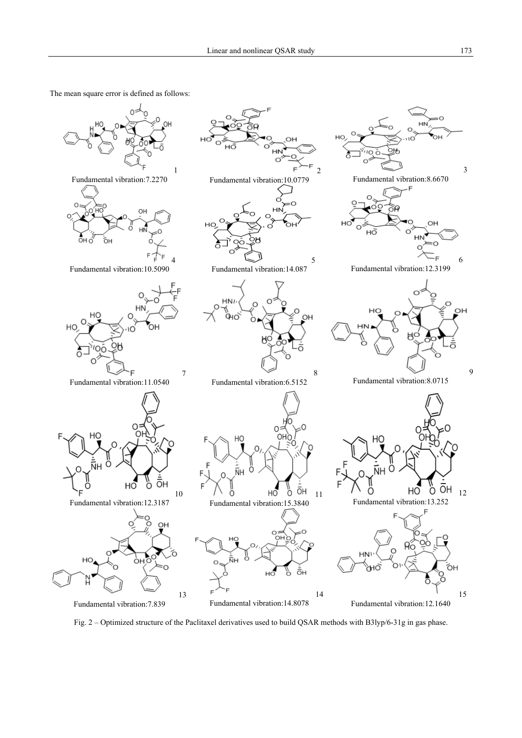The mean square error is defined as follows:



Fig. 2 – Optimized structure of the Paclitaxel derivatives used to build QSAR methods with B3lyp/6-31g in gas phase.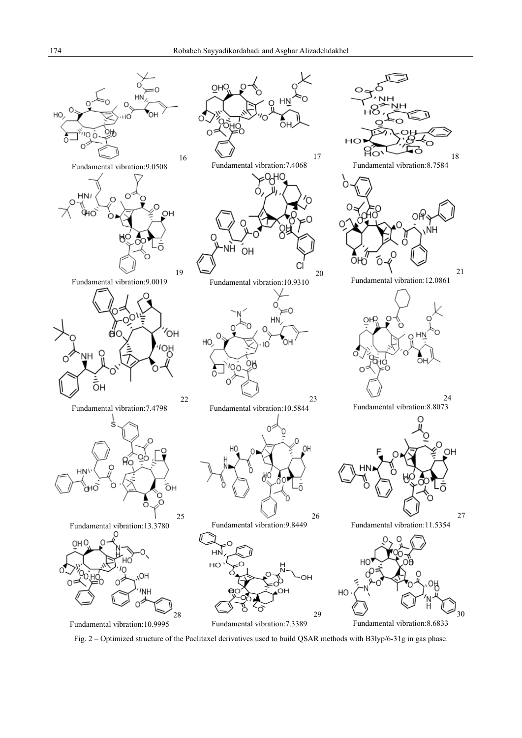

Fig. 2 – Optimized structure of the Paclitaxel derivatives used to build QSAR methods with B3lyp/6-31g in gas phase.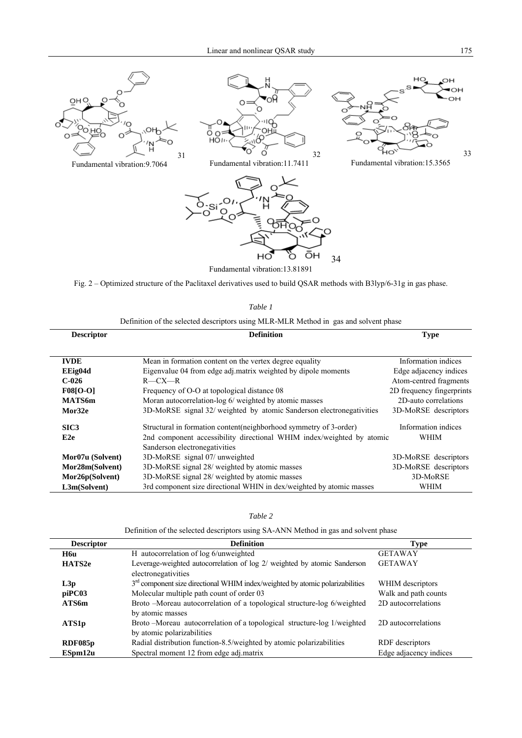







Fundamental vibration:11.7411



Fundamental vibration:13.81891

Fig. 2 – Optimized structure of the Paclitaxel derivatives used to build QSAR methods with B3lyp/6-31g in gas phase.

*Table 1* 

|                   | Definition of the selected descriptors using MLR-MLR Method in gas and solvent phase |                           |
|-------------------|--------------------------------------------------------------------------------------|---------------------------|
| <b>Descriptor</b> | <b>Definition</b>                                                                    | <b>Type</b>               |
|                   |                                                                                      |                           |
| <b>IVDE</b>       | Mean in formation content on the vertex degree equality                              | Information indices       |
| EEig04d           | Eigenvalue 04 from edge adj.matrix weighted by dipole moments                        | Edge adjacency indices    |
| $C-026$           | $R$ — $CX$ — $R$                                                                     | Atom-centred fragments    |
| <b>F08[O-O]</b>   | Frequency of O-O at topological distance 08                                          | 2D frequency fingerprints |
| <b>MATS6m</b>     | Moran autocorrelation-log 6/ weighted by atomic masses                               | 2D-auto correlations      |
| Mor32e            | 3D-MoRSE signal 32/ weighted by atomic Sanderson electronegativities                 | 3D-MoRSE descriptors      |
| SIC <sub>3</sub>  | Structural in formation content (neighborhood symmetry of 3-order)                   | Information indices       |
| E <sub>2e</sub>   | 2nd component accessibility directional WHIM index/weighted by atomic                | WHIM                      |
|                   | Sanderson electronegativities                                                        |                           |
| Mor07u (Solvent)  | 3D-MoRSE signal 07/ unweighted                                                       | 3D-MoRSE descriptors      |
| Mor28m(Solvent)   | 3D-MoRSE signal 28/ weighted by atomic masses                                        | 3D-MoRSE descriptors      |
| Mor26p(Solvent)   | 3D-MoRSE signal 28/ weighted by atomic masses                                        | 3D-MoRSE                  |
| L3m(Solvent)      | 3rd component size directional WHIN in dex/weighted by atomic masses                 | WHIM                      |

#### *Table 2*

Definition of the selected descriptors using SA-ANN Method in gas and solvent phase

| <b>Descriptor</b> | <b>Definition</b>                                                                                    | <b>Type</b>            |
|-------------------|------------------------------------------------------------------------------------------------------|------------------------|
| H6u               | H autocorrelation of log 6/unweighted                                                                | <b>GETAWAY</b>         |
| HATS2e            | Leverage-weighted autocorrelation of log 2/ weighted by atomic Sanderson<br>electronegativities      | <b>GETAWAY</b>         |
| L3p               | $3rd$ component size directional WHIM index/weighted by atomic polarizabilities                      | WHIM descriptors       |
| piPC03            | Molecular multiple path count of order 03                                                            | Walk and path counts   |
| ATS6m             | Broto -Moreau autocorrelation of a topological structure-log 6/weighted<br>by atomic masses          | 2D autocorrelations    |
| ATS1p             | Broto-Moreau autocorrelation of a topological structure-log 1/weighted<br>by atomic polarizabilities | 2D autocorrelations    |
| RDF085p           | Radial distribution function-8.5/weighted by atomic polarizabilities                                 | RDF descriptors        |
| ESpm12u           | Spectral moment 12 from edge adj.matrix                                                              | Edge adjacency indices |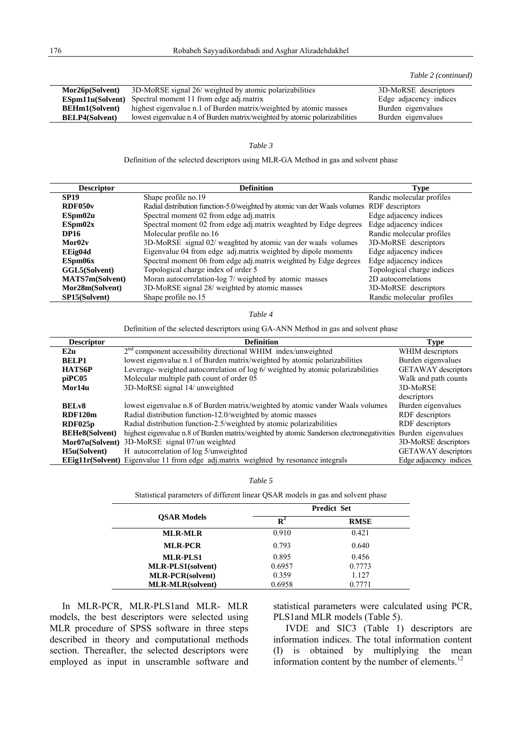*Table 2 (continued)*

| Mor26p(Solvent)       | 3D-MoRSE signal 26/ weighted by atomic polarizabilities                    | 3D-MoRSE descriptors   |
|-----------------------|----------------------------------------------------------------------------|------------------------|
|                       | <b>ESpm11u(Solvent)</b> Spectral moment 11 from edge adj.matrix            | Edge adjacency indices |
| <b>BEHm1(Solvent)</b> | highest eigenvalue n.1 of Burden matrix/weighted by atomic masses          | Burden eigenvalues     |
| <b>BELP4(Solvent)</b> | lowest eigenvalue n.4 of Burden matrix/weighted by atomic polarizabilities | Burden eigenvalues     |
|                       |                                                                            |                        |

#### *Table 3*

Definition of the selected descriptors using MLR-GA Method in gas and solvent phase

| <b>Descriptor</b>      | <b>Definition</b>                                                                         | Type                       |
|------------------------|-------------------------------------------------------------------------------------------|----------------------------|
| <b>SP19</b>            | Shape profile no.19                                                                       | Randic molecular profiles  |
| RDF050 <sub>v</sub>    | Radial distribution function-5.0/weighted by atomic van der Waals volumes RDF descriptors |                            |
| ESpm02u                | Spectral moment 02 from edge adj.matrix                                                   | Edge adjacency indices     |
| ESpm02x                | Spectral moment 02 from edge adj.matrix weaghted by Edge degrees                          | Edge adjacency indices     |
| <b>DP16</b>            | Molecular profile no.16                                                                   | Randic molecular profiles  |
| Mor02v                 | 3D-MoRSE signal 02/ weaghted by atomic van der waals volumes                              | 3D-MoRSE descriptors       |
| EEig04d                | Eigenvalue 04 from edge adj.matrix weighted by dipole moments                             | Edge adjacency indices     |
| ESpm06x                | Spectral moment 06 from edge adj.matrix weighted by Edge degrees                          | Edge adjacency indices     |
| GGL5(Solvent)          | Topological charge index of order 5                                                       | Topological charge indices |
| <b>MATS7m(Solvent)</b> | Moran autocorrelation-log 7/ weighted by atomic masses                                    | 2D autocorrelations        |
| Mor28m(Solvent)        | 3D-MoRSE signal 28/ weighted by atomic masses                                             | 3D-MoRSE descriptors       |
| <b>SP15(Solvent)</b>   | Shape profile no.15                                                                       | Randic molecular profiles  |

#### *Table 4*

Definition of the selected descriptors using GA-ANN Method in gas and solvent phase

| <b>Descriptor</b>     | <b>Definition</b>                                                                                           | Type                       |
|-----------------------|-------------------------------------------------------------------------------------------------------------|----------------------------|
| E2u                   | $2nd$ component accessibility directional WHIM index/unweighted                                             | WHIM descriptors           |
| <b>BELP1</b>          | lowest eigenvalue n.1 of Burden matrix/weighted by atomic polarizabilities                                  | Burden eigenvalues         |
| <b>HATS6P</b>         | Leverage- weighted autocorrelation of log 6/ weighted by atomic polarizabilities                            | <b>GETAWAY</b> descriptors |
| piPC05                | Molecular multiple path count of order 05                                                                   | Walk and path counts       |
| Mor14u                | 3D-MoRSE signal 14/ unweighted                                                                              | 3D-MoRSE                   |
|                       |                                                                                                             | descriptors                |
| BEL <sub>v</sub> 8    | lowest eigenvalue n.8 of Burden matrix/weighted by atomic vander Waals volumes                              | Burden eigenvalues         |
| RDF120m               | Radial distribution function-12.0/weighted by atomic masses                                                 | RDF descriptors            |
| RDF025p               | Radial distribution function-2.5/weighted by atomic polarizabilities                                        | RDF descriptors            |
| <b>BEHe8(Solvent)</b> | highest eigenvalue n.8 of Burden matrix/weighted by atomic Sanderson electronegativities Burden eigenvalues |                            |
| Mor07u(Solvent)       | 3D-MoRSE signal 07/un weighted                                                                              | 3D-MoRSE descriptors       |
| H5u(Solvent)          | H autocorrelation of log 5/unweighted                                                                       | <b>GETAWAY</b> descriptors |
|                       | EEig11r(Solvent) Eigenvalue 11 from edge adj.matrix weighted by resonance integrals                         | Edge adjacency indices     |

|--|

Statistical parameters of different linear QSAR models in gas and solvent phase

|                          |                | <b>Predict Set</b> |  |
|--------------------------|----------------|--------------------|--|
| <b>OSAR Models</b>       | $\mathbf{R}^2$ | <b>RMSE</b>        |  |
| <b>MLR-MLR</b>           | 0.910          | 0.421              |  |
| <b>MLR-PCR</b>           | 0.793          | 0.640              |  |
| <b>MLR-PLS1</b>          | 0.895          | 0.456              |  |
| <b>MLR-PLS1(solvent)</b> | 0.6957         | 0.7773             |  |
| <b>MLR-PCR(solvent)</b>  | 0.359          | 1.127              |  |
| <b>MLR-MLR(solvent)</b>  | 0.6958         | 0.7771             |  |

In MLR-PCR, MLR-PLS1and MLR- MLR models, the best descriptors were selected using MLR procedure of SPSS software in three steps described in theory and computational methods section. Thereafter, the selected descriptors were employed as input in unscramble software and statistical parameters were calculated using PCR, PLS1and MLR models (Table 5).

IVDE and SIC3 (Table 1) descriptors are information indices. The total information content (I) is obtained by multiplying the mean information content by the number of elements.<sup>12</sup>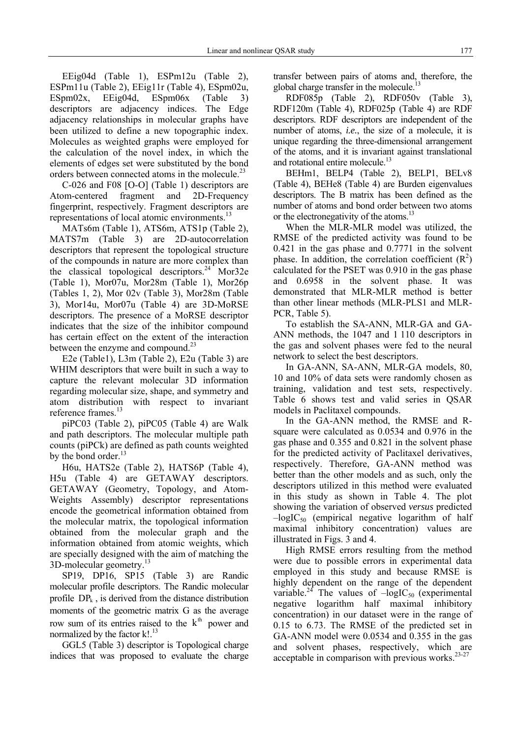EEig04d (Table 1), ESPm12u (Table 2), ESPm11u (Table 2), EEig11r (Table 4), ESpm02u, ESpm02x, EEig04d, ESpm06x (Table 3) descriptors are adjacency indices. The Edge adjacency relationships in molecular graphs have been utilized to define a new topographic index. Molecules as weighted graphs were employed for the calculation of the novel index, in which the elements of edges set were substituted by the bond orders between connected atoms in the molecule.<sup>23</sup>

C-026 and F08 [O-O] (Table 1) descriptors are Atom-centered fragment and 2D-Frequency fingerprint, respectively. Fragment descriptors are representations of local atomic environments.<sup>13</sup>

MATs6m (Table 1), ATS6m, ATS1p (Table 2), MATS7m (Table 3) are 2D-autocorrelation descriptors that represent the topological structure of the compounds in nature are more complex than the classical topological descriptors.<sup>24</sup> Mor32e (Table 1), Mor07u, Mor28m (Table 1), Mor26p (Tables 1, 2), Mor 02v (Table 3), Mor28m (Table 3), Mor14u, Mor07u (Table 4) are 3D-MoRSE descriptors. The presence of a MoRSE descriptor indicates that the size of the inhibitor compound has certain effect on the extent of the interaction between the enzyme and compound.<sup>23</sup>

E2e (Table1), L3m (Table 2), E2u (Table 3) are WHIM descriptors that were built in such a way to capture the relevant molecular 3D information regarding molecular size, shape, and symmetry and atom distribution with respect to invariant reference frames.<sup>13</sup>

piPC03 (Table 2), piPC05 (Table 4) are Walk and path descriptors. The molecular multiple path counts (piPCk) are defined as path counts weighted by the bond order.<sup>13</sup>

H6u, HATS2e (Table 2), HATS6P (Table 4), H5u (Table 4) are GETAWAY descriptors. GETAWAY (Geometry, Topology, and Atom-Weights Assembly) descriptor representations encode the geometrical information obtained from the molecular matrix, the topological information obtained from the molecular graph and the information obtained from atomic weights, which are specially designed with the aim of matching the 3D-molecular geometry.13

SP19, DP16, SP15 (Table 3) are Randic molecular profile descriptors. The Randic molecular profile  $DP_k$ , is derived from the distance distribution moments of the geometric matrix G as the average row sum of its entries raised to the  $k<sup>th</sup>$  power and normalized by the factor k!.<sup>13</sup>

GGL5 (Table 3) descriptor is Topological charge indices that was proposed to evaluate the charge transfer between pairs of atoms and, therefore, the global charge transfer in the molecule.<sup>13</sup>

RDF085p (Table 2), RDF050v (Table 3), RDF120m (Table 4), RDF025p (Table 4) are RDF descriptors. RDF descriptors are independent of the number of atoms, *i.e.*, the size of a molecule, it is unique regarding the three-dimensional arrangement of the atoms, and it is invariant against translational and rotational entire molecule.<sup>13</sup>

BEHm1, BELP4 (Table 2), BELP1, BELv8 (Table 4), BEHe8 (Table 4) are Burden eigenvalues descriptors. The B matrix has been defined as the number of atoms and bond order between two atoms or the electronegativity of the atoms.<sup>13</sup>

When the MLR-MLR model was utilized, the RMSE of the predicted activity was found to be 0.421 in the gas phase and 0.7771 in the solvent phase. In addition, the correlation coefficient  $(R^2)$ calculated for the PSET was 0.910 in the gas phase and 0.6958 in the solvent phase. It was demonstrated that MLR-MLR method is better than other linear methods (MLR-PLS1 and MLR-PCR. Table 5).

To establish the SA-ANN, MLR-GA and GA-ANN methods, the 1047 and 1 110 descriptors in the gas and solvent phases were fed to the neural network to select the best descriptors.

In GA-ANN, SA-ANN, MLR-GA models, 80, 10 and 10% of data sets were randomly chosen as training, validation and test sets, respectively. Table 6 shows test and valid series in QSAR models in Paclitaxel compounds.

In the GA-ANN method, the RMSE and Rsquare were calculated as 0.0534 and 0.976 in the gas phase and 0.355 and 0.821 in the solvent phase for the predicted activity of Paclitaxel derivatives, respectively. Therefore, GA-ANN method was better than the other models and as such, only the descriptors utilized in this method were evaluated in this study as shown in Table 4. The plot showing the variation of observed *versus* predicted  $-\log IC_{50}$  (empirical negative logarithm of half maximal inhibitory concentration) values are illustrated in Figs. 3 and 4.

High RMSE errors resulting from the method were due to possible errors in experimental data employed in this study and because RMSE is highly dependent on the range of the dependent variable.<sup>24</sup> The values of  $-\log IC_{50}$  (experimental negative logarithm half maximal inhibitory concentration) in our dataset were in the range of 0.15 to 6.73. The RMSE of the predicted set in GA-ANN model were 0.0534 and 0.355 in the gas and solvent phases, respectively, which are acceptable in comparison with previous works. $23-27$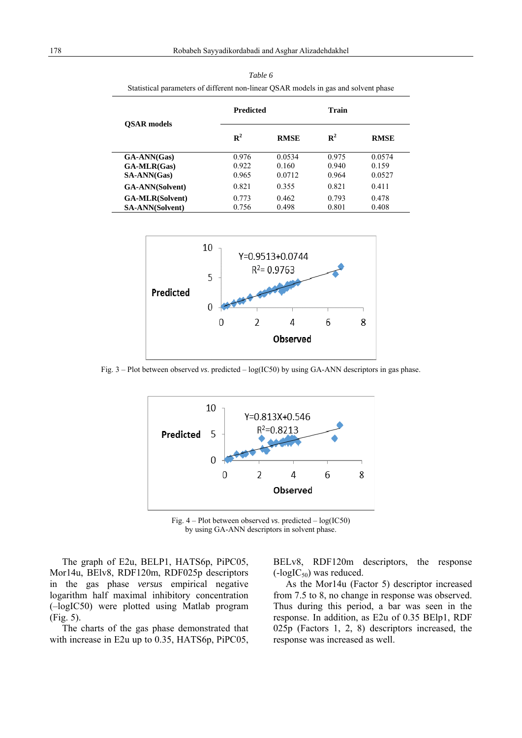|                         | <b>Predicted</b> |             | Train       |             |
|-------------------------|------------------|-------------|-------------|-------------|
| <b>OSAR</b> models      | $\mathbf{R}^2$   | <b>RMSE</b> | ${\bf R}^2$ | <b>RMSE</b> |
| GA-ANN(Gas)             | 0.976            | 0.0534      | 0.975       | 0.0574      |
| $GA\text{-}MLR(Gas)$    | 0.922            | 0.160       | 0.940       | 0.159       |
| SA-ANN(Gas)             | 0.965            | 0.0712      | 0.964       | 0.0527      |
| <b>GA-ANN</b> (Solvent) | 0.821            | 0.355       | 0.821       | 0.411       |
| <b>GA-MLR(Solvent)</b>  | 0.773            | 0.462       | 0.793       | 0.478       |
| <b>SA-ANN(Solvent)</b>  | 0.756            | 0.498       | 0.801       | 0.408       |

*Table 6*  Statistical parameters of different non-linear QSAR models in gas and solvent phase



Fig. 3 – Plot between observed *vs*. predicted – log(IC50) by using GA-ANN descriptors in gas phase.



Fig. 4 – Plot between observed *vs*. predicted – log(IC50) by using GA-ANN descriptors in solvent phase.

The graph of E2u, BELP1, HATS6p, PiPC05, Mor14u, BElv8, RDF120m, RDF025p descriptors in the gas phase *versus* empirical negative logarithm half maximal inhibitory concentration (–logIC50) were plotted using Matlab program (Fig. 5).

The charts of the gas phase demonstrated that with increase in E2u up to 0.35, HATS6p, PiPC05, BELv8, RDF120m descriptors, the response  $(-log IC_{50})$  was reduced.

As the Mor14u (Factor 5) descriptor increased from 7.5 to 8, no change in response was observed. Thus during this period, a bar was seen in the response. In addition, as E2u of 0.35 BElp1, RDF 025p (Factors 1, 2, 8) descriptors increased, the response was increased as well.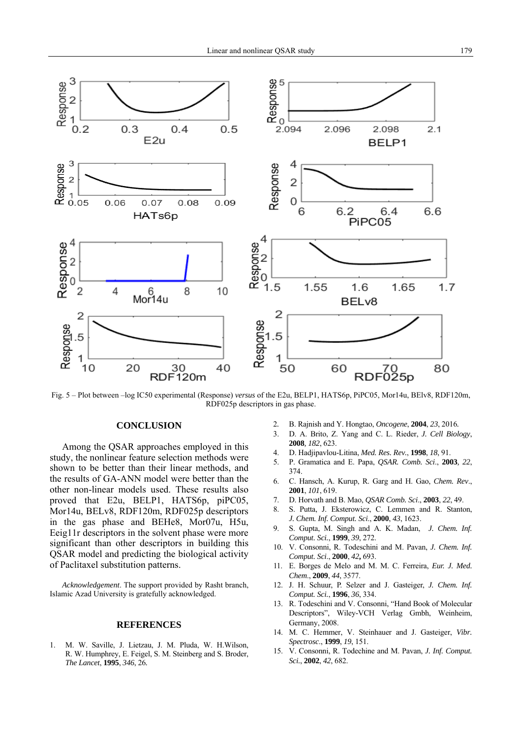

Fig. 5 – Plot between –log IC50 experimental (Response) *versus* of the E2u, BELP1, HATS6p, PiPC05, Mor14u, BElv8, RDF120m, RDF025p descriptors in gas phase.

#### **CONCLUSION**

Among the QSAR approaches employed in this study, the nonlinear feature selection methods were shown to be better than their linear methods, and the results of GA-ANN model were better than the other non-linear models used. These results also proved that E2u, BELP1, HATS6p, piPC05, Mor14u, BELv8, RDF120m, RDF025p descriptors in the gas phase and BEHe8, Mor07u, H5u, Eeig11r descriptors in the solvent phase were more significant than other descriptors in building this QSAR model and predicting the biological activity of Paclitaxel substitution patterns.

*Acknowledgement*. The support provided by Rasht branch, Islamic Azad University is gratefully acknowledged.

### **REFERENCES**

1. M. W. Saville, J. Lietzau, J. M. Pluda, W. H.Wilson, R. W. Humphrey, E. Feigel, S. M. Steinberg and S. Broder, *The Lancet*, **1995**, *346*, 26*.* 

- 2*.* B. Rajnish and Y. Hongtao, *Oncogene*, **2004**, *23*, 2016*.*
- 3. D. A. Brito, Z. Yang and C. L. Rieder, *J. Cell Biology*, **2008***, 182*, 623.
- 4. D. Hadjipavlou-Litina, *Med. Res. Rev.*, **1998**, *18*, 91.
- 5. P. Gramatica and E. Papa, *QSAR. Comb. Sci*., **2003***, 22*, 374.
- 6. C. Hansch, A. Kurup, R. Garg and H. Gao, *Chem. Rev*., **2001**, *101*, 619.
- 7. D. Horvath and B. Mao, *QSAR Comb. Sci*., **2003**, *22*, 49.
- 8. S. Putta, J. Eksterowicz, C. Lemmen and R. Stanton, *J. Chem. Inf. Comput. Sci*., **2000**, *43*, 1623.
- 9. S. Gupta, M. Singh and A. K. Madan, *J. Chem. Inf. Comput. Sci.*, **1999**, *39*, 272.
- 10. V. Consonni, R. Todeschini and M. Pavan, *J. Chem. Inf. Comput. Sci*., **2000**, *42***,** 693.
- 11. E. Borges de Melo and M. M. C. Ferreira, *Eur. J. Med. Chem*., **2009**, *44*, 3577.
- 12. J. H. Schuur, P. Selzer and J. Gasteiger, *J. Chem. Inf. Comput. Sci.*, **1996**, *36*, 334.
- 13. R. Todeschini and V. Consonni, "Hand Book of Molecular Descriptors", Wiley-VCH Verlag Gmbh, Weinheim, Germany, 2008.
- 14. M. C. Hemmer, V. Steinhauer and J. Gasteiger, *Vibr. Spectrosc*., **1999**, *19*, 151.
- 15. V. Consonni, R. Todechine and M. Pavan, *J. Inf. Comput. Sci.*, **2002**, *42*, 682.